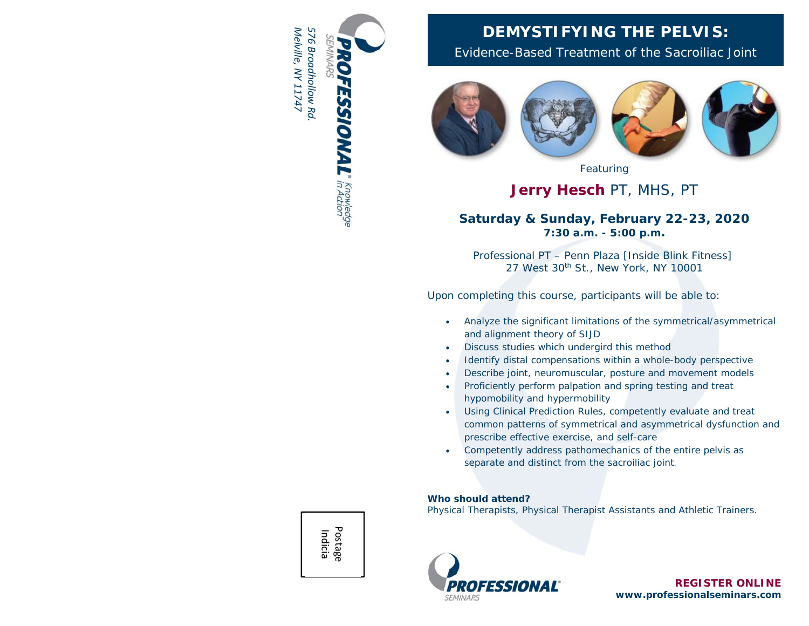

# **DEMYSTIFYING THE PELVIS:**

Evidence-Based Treatment of the Sacroiliac Joint



Featuring

# **Jerry Hesch** PT, MHS, PT

## **Saturday & Sunday, February 22-23, 2020 7:30 a.m. - 5:00 p.m.**

Professional PT – Penn Plaza [Inside Blink Fitness] 27 West 30<sup>th</sup> St., New York, NY 10001

Upon completing this course, participants will be able to:

- $\bullet$  Analyze the significant limitations of the symmetrical/asymmetrical and alignment theory of SIJD
- $\bullet$ Discuss studies which undergird this method
- e Identify distal compensations within a whole-body perspective
- O Describe joint, neuromuscular, posture and movement models
- $\bullet$  Proficiently perform palpation and spring testing and treat hypomobility and hypermobility
- $\bullet$  Using Clinical Prediction Rules, competently evaluate and treat common patterns of *symmetrical and asymmetrical* dysfunction and prescribe effective exercise, and self-care
- O Competently address pathomechanics of the entire pelvis as *separate and distinct from the sacroiliac joint.*

### **Who should attend?**

Physical Therapists, Physical Therapist Assistants and Athletic Trainers.



**REGISTER ONLINE www.professionalseminars.com** 

Postage Indicia